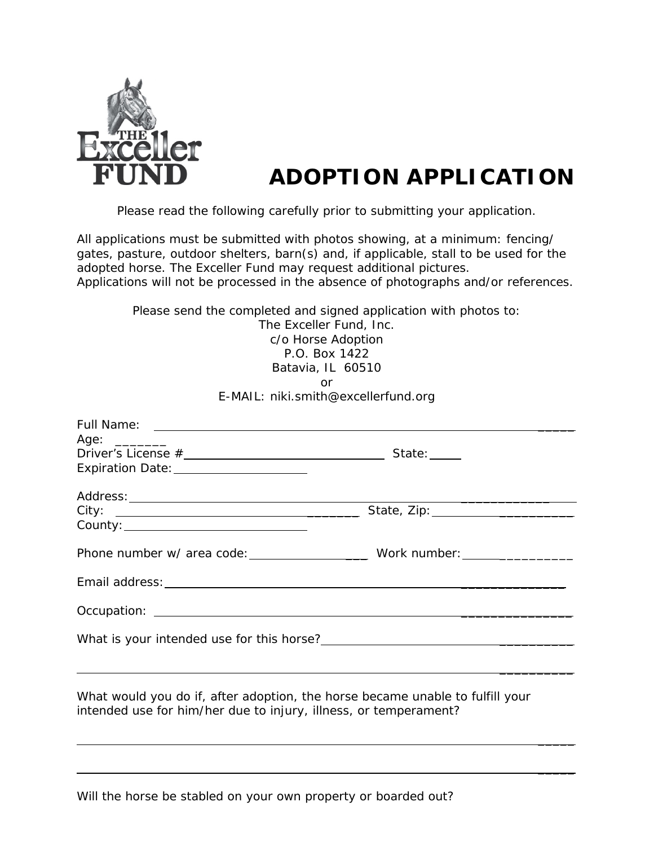

## **ADOPTION APPLICATION**

Please read the following carefully prior to submitting your application.

All applications must be submitted with photos showing, at a minimum: fencing/ gates, pasture, outdoor shelters, barn(s) and, if applicable, stall to be used for the adopted horse. The Exceller Fund may request additional pictures. Applications will not be processed in the absence of photographs and/or references.

> Please send the completed and signed application with photos to: The Exceller Fund, Inc. c/o Horse Adoption P.O. Box 1422 Batavia, IL 60510 or E-MAIL: niki.smith@excellerfund.org

| Age: ______                                                      |                                                                               |
|------------------------------------------------------------------|-------------------------------------------------------------------------------|
|                                                                  |                                                                               |
|                                                                  |                                                                               |
|                                                                  |                                                                               |
|                                                                  |                                                                               |
|                                                                  |                                                                               |
|                                                                  |                                                                               |
|                                                                  |                                                                               |
|                                                                  |                                                                               |
|                                                                  |                                                                               |
|                                                                  |                                                                               |
| intended use for him/her due to injury, illness, or temperament? | What would you do if, after adoption, the horse became unable to fulfill your |
|                                                                  |                                                                               |
|                                                                  |                                                                               |

Will the horse be stabled on your own property or boarded out?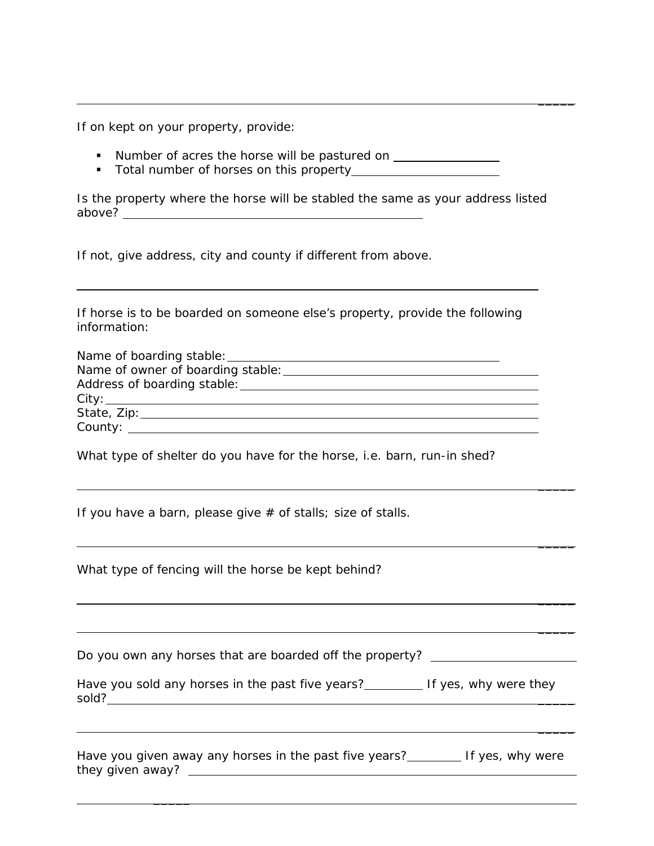If on kept on your property, provide:

- Number of acres the horse will be pastured on \_\_\_\_\_\_\_\_\_\_\_\_\_\_\_\_\_\_\_\_\_\_\_\_\_\_\_\_\_\_\_\_
- Total number of horses on this property

Is the property where the horse will be stabled the same as your address listed above?

 $\overline{\phantom{a}}$ 

 $\overline{\phantom{a}}$ 

 $\overline{\phantom{a}}$ 

 $\overline{\phantom{a}}$ 

 $\overline{\phantom{a}}$ 

 $\overline{\phantom{a}}$ 

If not, give address, city and county if different from above.

If horse is to be boarded on someone else's property, provide the following information:

| Name of boarding stable: Name of boarding stable: |  |
|---------------------------------------------------|--|
| Name of owner of boarding stable:                 |  |
| Address of boarding stable: __________________    |  |
|                                                   |  |
| State, Zip: ______________                        |  |
|                                                   |  |

What type of shelter do you have for the horse, i.e. barn, run-in shed?

If you have a barn, please give  $#$  of stalls; size of stalls.

What type of fencing will the horse be kept behind?

 $\overline{\phantom{a}}$ 

Do you own any horses that are boarded off the property? \_\_\_\_\_\_\_\_\_\_\_\_\_\_\_\_\_\_\_\_\_\_\_

| Have you sold any horses in the past five years? | If yes, why were they |  |
|--------------------------------------------------|-----------------------|--|
| sold?                                            |                       |  |

Have you given away any horses in the past five years? If yes, why were they given away?